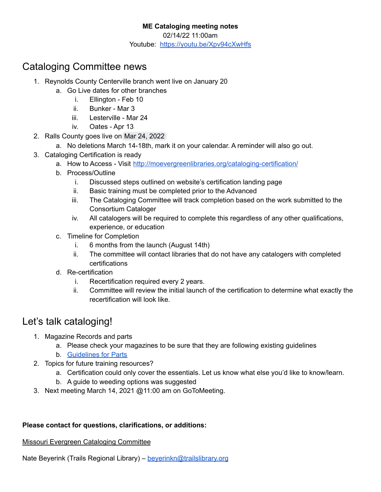#### **ME Cataloging meeting notes**

02/14/22 11:00am

Youtube: <https://youtu.be/Xpv94cXwHfs>

## Cataloging Committee news

- 1. Reynolds County Centerville branch went live on January 20
	- a. Go Live dates for other branches
		- i. Ellington Feb 10
		- ii. Bunker Mar 3
		- iii. Lesterville Mar 24
		- iv. Oates Apr 13
- 2. Ralls County goes live on Mar 24, 2022
	- a. No deletions March 14-18th, mark it on your calendar. A reminder will also go out.
- 3. Cataloging Certification is ready
	- a. How to Access Visit <http://moevergreenlibraries.org/cataloging-certification/>
	- b. Process/Outline
		- i. Discussed steps outlined on website's certification landing page
		- ii. Basic training must be completed prior to the Advanced
		- iii. The Cataloging Committee will track completion based on the work submitted to the Consortium Cataloger
		- iv. All catalogers will be required to complete this regardless of any other qualifications, experience, or education
	- c. Timeline for Completion
		- i. 6 months from the launch (August 14th)
		- ii. The committee will contact libraries that do not have any catalogers with completed certifications
	- d. Re-certification
		- i. Recertification required every 2 years.
		- ii. Committee will review the initial launch of the certification to determine what exactly the recertification will look like.

# Let's talk cataloging!

- 1. Magazine Records and parts
	- a. Please check your magazines to be sure that they are following existing guidelines
	- b. [Guidelines](http://moevergreenlibraries.org/wp-content/uploads/2019/09/UNIFIED-PARTS-DOCUMENT.pdf) for Parts
- 2. Topics for future training resources?
	- a. Certification could only cover the essentials. Let us know what else you'd like to know/learn.
	- b. A guide to weeding options was suggested
- 3. Next meeting March 14, 2021 @11:00 am on GoToMeeting.

### **Please contact for questions, clarifications, or additions:**

### Missouri Evergreen Cataloging Committee

Nate Beyerink (Trails Regional Library) – [beyerinkn@trailslibrary.org](mailto:beyerinkn@trailslibrary.org)